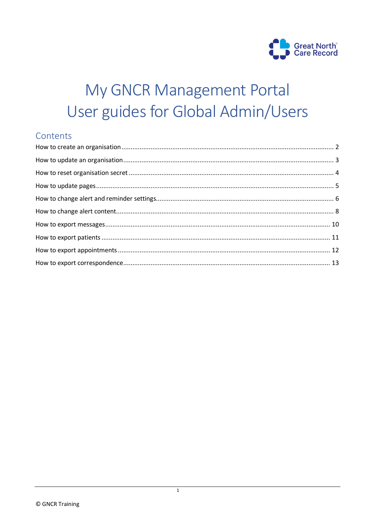

# My GNCR Management Portal User guides for Global Admin/Users

# Contents

 $\overline{1}$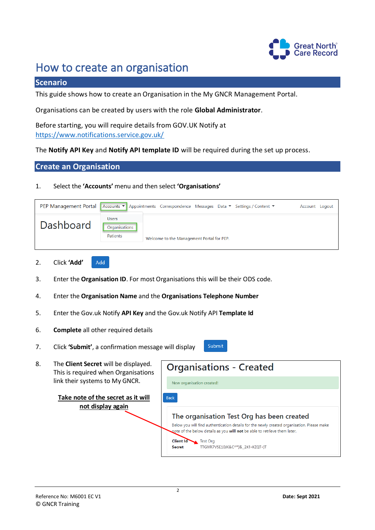

# <span id="page-1-0"></span>How to create an organisation

### **Scenario**

This guide shows how to create an Organisation in the My GNCR Management Portal.

Organisations can be created by users with the role **Global Administrator**.

Before starting, you will require details from GOV.UK Notify at <https://www.notifications.service.gov.uk/>

The **Notify API Key** and **Notify API template ID** will be required during the set up process.

#### **Create an Organisation**

#### 1. Select the **'Accounts'** menu and then select **'Organisations'**

| PEP Management Portal |                                           | Accounts ▼ Appointments Correspondence Messages Data ▼ Settings / Content ▼ | Account Logout |  |
|-----------------------|-------------------------------------------|-----------------------------------------------------------------------------|----------------|--|
| Dashboard             | <b>Users</b><br>Organisations<br>Patients | Welcome to the Management Portal for PEP.                                   |                |  |
|                       |                                           |                                                                             |                |  |

- 2. Click **'Add'** Add
- 3. Enter the **Organisation ID**. For most Organisations this will be their ODS code.
- 4. Enter the **Organisation Name** and the **Organisations Telephone Number**
- 5. Enter the Gov.uk Notify **API Key** and the Gov.uk Notify API **Template Id**
- 6. **Complete** all other required details
- 7. Click **'Submit'**, a confirmation message will display



**Take note of the secret as it will not display again**



Submit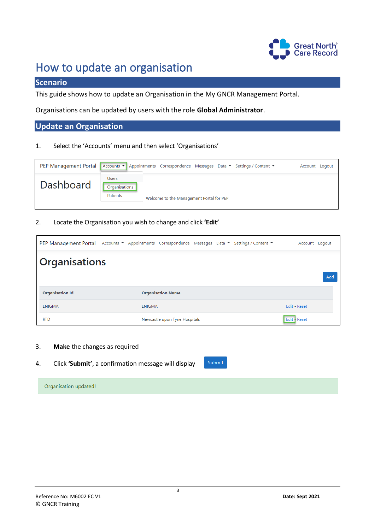

# <span id="page-2-0"></span>How to update an organisation

# **Scenario**

This guide shows how to update an Organisation in the My GNCR Management Portal.

Organisations can be updated by users with the role **Global Administrator**.

# **Update an Organisation**

#### 1. Select the 'Accounts' menu and then select 'Organisations'

| <b>PEP Management Portal</b>          | Accounts ▼ Appointments Correspondence Messages Data ▼ Settings / Content ▼ | Account Logout |
|---------------------------------------|-----------------------------------------------------------------------------|----------------|
| <b>Users</b><br>Dashboard<br>Patients | Organisations<br>Welcome to the Management Portal for PEP.                  |                |

#### 2. Locate the Organisation you wish to change and click **'Edit'**

|                        | PEP Management Portal Accounts ▼ Appointments Correspondence Messages Data ▼ Settings / Content ▼ | Account Logout |
|------------------------|---------------------------------------------------------------------------------------------------|----------------|
| <b>Organisations</b>   |                                                                                                   |                |
|                        |                                                                                                   | Add            |
| <b>Organisation Id</b> | <b>Organisation Name</b>                                                                          |                |
| <b>ENIGMA</b>          | <b>ENIGMA</b>                                                                                     | Edit - Reset   |
| <b>RTD</b>             | Newcastle upon Tyne Hospitals                                                                     | Edit - Reset   |

- 3. **Make** the changes as required
- 4. Click **'Submit'**, a confirmation message will display



Organisation updated!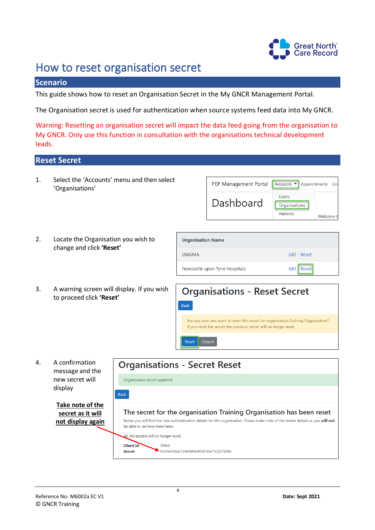

# <span id="page-3-0"></span>How to reset organisation secret

### **Scenario**

This guide shows how to reset an Organisation Secret in the My GNCR Management Portal.

The Organisation secret is used for authentication when source systems feed data into My GNCR.

Warning: Resetting an organisation secret will impact the data feed going from the organisation to My GNCR. Only use this function in consultation with the organisations technical development leads.

**ENIGMA** 

Newcastle upon Tyne Hospitals

### **Reset Secret**

1. Select the 'Accounts' menu and then select 'Organisations'

|                          | PEP Management Portal | Accounts $\blacktriangledown$<br>Appointments Cor          |  |
|--------------------------|-----------------------|------------------------------------------------------------|--|
|                          | <b>Dashboard</b>      | Users<br>Organisations<br>Patients<br>Welcome <sup>®</sup> |  |
| <b>Organisation Name</b> |                       |                                                            |  |

Edit - Reset

Edit Reset

- 2. Locate the Organisation you wish to change and click **'Reset'**
- 3. A warning screen will display. If you wish to proceed click **'Reset'**



4. A confirmation message and the new secret will display

> **Take note of the secret as it will not display again**

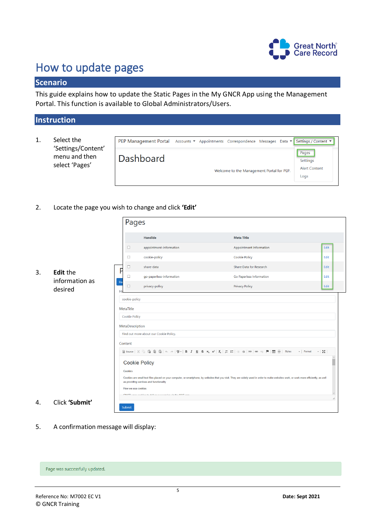

# <span id="page-4-0"></span>How to update pages

# **Scenario**

This guide explains how to update the Static Pages in the My GNCR App using the Management Portal. This function is available to Global Administrators/Users.

# **Instruction**

1. Select the 'Settings/Content' menu and then select 'Pages'

|           | PEP Management Portal Accounts ▼ Appointments Correspondence Messages Data ▼ Settings / Content ▼ |                                    |
|-----------|---------------------------------------------------------------------------------------------------|------------------------------------|
| Dashboard | Welcome to the Management Portal for PEP.                                                         | Pages<br>Settings<br>Alert Content |
|           |                                                                                                   | Logs                               |

2. Locate the page you wish to change and click **'Edit'**

|    |                                   | Pages                                                                                                                                     |                                                                                                                                                     |                                                                                                                                                                                         |      |
|----|-----------------------------------|-------------------------------------------------------------------------------------------------------------------------------------------|-----------------------------------------------------------------------------------------------------------------------------------------------------|-----------------------------------------------------------------------------------------------------------------------------------------------------------------------------------------|------|
|    |                                   |                                                                                                                                           | <b>HandIde</b>                                                                                                                                      | <b>Meta Title</b>                                                                                                                                                                       |      |
|    |                                   | $\Box$                                                                                                                                    | appointment-information                                                                                                                             | Appointment Information                                                                                                                                                                 | Edit |
|    |                                   | $\Box$                                                                                                                                    | cookie-policy                                                                                                                                       | Cookie Policy                                                                                                                                                                           | Edit |
|    |                                   | $\Box$<br>P                                                                                                                               | share-data                                                                                                                                          | Share Data for Research                                                                                                                                                                 | Edit |
| 3. | <b>Edit the</b><br>information as | □                                                                                                                                         | go-paperless-information                                                                                                                            | Go Paperless Information                                                                                                                                                                | Edit |
|    | desired                           | Ba<br>$\Box$<br>н                                                                                                                         | privacy-policy                                                                                                                                      | <b>Privacy Policy</b>                                                                                                                                                                   | Edit |
|    |                                   | cookie-policy<br>MetaTitle<br><b>Cookie Policy</b><br>MetaDescription<br>Content<br><b>Cookie Policy</b><br>Cookies<br>How we use cookies | Find out more about our Cookie Policy.<br>as providing services and functionality<br>OMOD made accelled to stational concernation of a the KITO and | Cookies are small text files placed on your computer, or smartphone, by websites that you visit. They are widely used in order to make websites work, or work more efficiently, as well |      |
| 4. | Click 'Submit'                    | Submit                                                                                                                                    |                                                                                                                                                     |                                                                                                                                                                                         |      |

5. A confirmation message will display:

Page was successfully updated.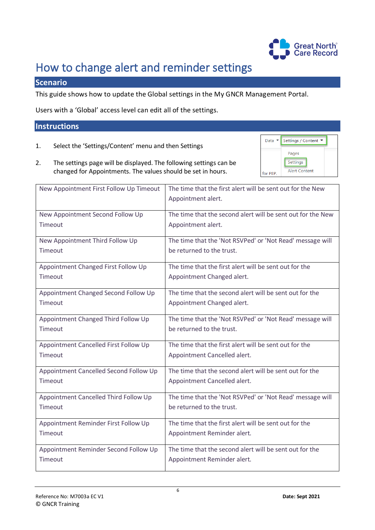

Settings / Content ▼

Pages Settings **Alert Content** 

Data  $\sim$ 

for PEP.

# <span id="page-5-0"></span>How to change alert and reminder settings

# **Scenario**

This guide shows how to update the Global settings in the My GNCR Management Portal.

Users with a 'Global' access level can edit all of the settings.

#### **Instructions**

- 1. Select the 'Settings/Content' menu and then Settings
- 2. The settings page will be displayed. The following settings can be changed for Appointments. The values should be set in hours.

| New Appointment First Follow Up Timeout | The time that the first alert will be sent out for the New  |
|-----------------------------------------|-------------------------------------------------------------|
|                                         | Appointment alert.                                          |
|                                         |                                                             |
| New Appointment Second Follow Up        | The time that the second alert will be sent out for the New |
| Timeout                                 | Appointment alert.                                          |
| New Appointment Third Follow Up         | The time that the 'Not RSVPed' or 'Not Read' message will   |
| Timeout                                 | be returned to the trust.                                   |
| Appointment Changed First Follow Up     | The time that the first alert will be sent out for the      |
| Timeout                                 | Appointment Changed alert.                                  |
| Appointment Changed Second Follow Up    | The time that the second alert will be sent out for the     |
| Timeout                                 | Appointment Changed alert.                                  |
| Appointment Changed Third Follow Up     | The time that the 'Not RSVPed' or 'Not Read' message will   |
| Timeout                                 | be returned to the trust.                                   |
| Appointment Cancelled First Follow Up   | The time that the first alert will be sent out for the      |
| Timeout                                 | Appointment Cancelled alert.                                |
| Appointment Cancelled Second Follow Up  | The time that the second alert will be sent out for the     |
| Timeout                                 | Appointment Cancelled alert.                                |
| Appointment Cancelled Third Follow Up   | The time that the 'Not RSVPed' or 'Not Read' message will   |
| Timeout                                 | be returned to the trust.                                   |
| Appointment Reminder First Follow Up    | The time that the first alert will be sent out for the      |
| Timeout                                 | Appointment Reminder alert.                                 |
| Appointment Reminder Second Follow Up   | The time that the second alert will be sent out for the     |
| Timeout                                 | Appointment Reminder alert.                                 |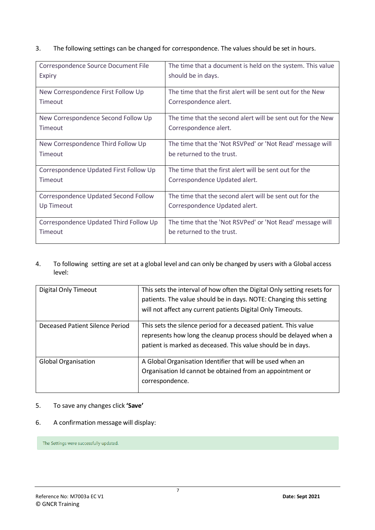### 3. The following settings can be changed for correspondence. The values should be set in hours.

| Correspondence Source Document File    | The time that a document is held on the system. This value  |
|----------------------------------------|-------------------------------------------------------------|
| <b>Expiry</b>                          | should be in days.                                          |
| New Correspondence First Follow Up     | The time that the first alert will be sent out for the New  |
| Timeout                                | Correspondence alert.                                       |
| New Correspondence Second Follow Up    | The time that the second alert will be sent out for the New |
| <b>Timeout</b>                         | Correspondence alert.                                       |
| New Correspondence Third Follow Up     | The time that the 'Not RSVPed' or 'Not Read' message will   |
| Timeout                                | be returned to the trust.                                   |
| Correspondence Updated First Follow Up | The time that the first alert will be sent out for the      |
| Timeout                                | Correspondence Updated alert.                               |
| Correspondence Updated Second Follow   | The time that the second alert will be sent out for the     |
| Up Timeout                             | Correspondence Updated alert.                               |
| Correspondence Updated Third Follow Up | The time that the 'Not RSVPed' or 'Not Read' message will   |
| <b>Timeout</b>                         | be returned to the trust.                                   |

#### 4. To following setting are set at a global level and can only be changed by users with a Global access level:

| Digital Only Timeout            | This sets the interval of how often the Digital Only setting resets for<br>patients. The value should be in days. NOTE: Changing this setting<br>will not affect any current patients Digital Only Timeouts. |
|---------------------------------|--------------------------------------------------------------------------------------------------------------------------------------------------------------------------------------------------------------|
| Deceased Patient Silence Period | This sets the silence period for a deceased patient. This value<br>represents how long the cleanup process should be delayed when a<br>patient is marked as deceased. This value should be in days.          |
| <b>Global Organisation</b>      | A Global Organisation Identifier that will be used when an<br>Organisation Id cannot be obtained from an appointment or<br>correspondence.                                                                   |

### 5. To save any changes click **'Save'**

### 6. A confirmation message will display:

The Settings were successfully updated.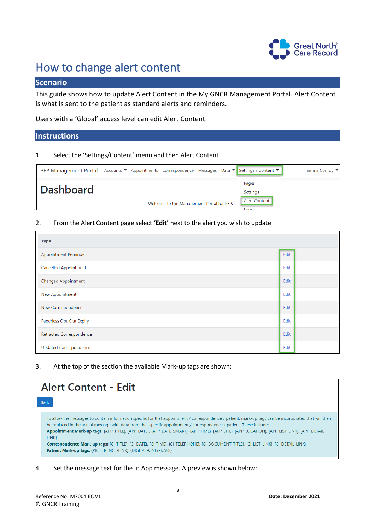

# <span id="page-7-0"></span>How to change alert content

# **Scenario**

This guide shows how to update Alert Content in the My GNCR Management Portal. Alert Content is what is sent to the patient as standard alerts and reminders.

Users with a 'Global' access level can edit Alert Content.

### **Instructions**

#### 1. Select the 'Settings/Content' menu and then Alert Content

| PEP Management Portal Accounts ▼ Appointments Correspondence Messages Data ▼ Settings / Content ▼ |                                           |  |                             | Emma Conroy |
|---------------------------------------------------------------------------------------------------|-------------------------------------------|--|-----------------------------|-------------|
| Dashboard                                                                                         |                                           |  | Pages<br>Settings           |             |
|                                                                                                   | Welcome to the Management Portal for PEP. |  | <b>Alert Content</b><br>ome |             |

#### 2. From the Alert Content page select **'Edit'** next to the alert you wish to update

| <b>Type</b>                   |      |
|-------------------------------|------|
| Appointment Reminder          | Edit |
| Cancelled Appointment         | Edit |
| Changed Appointment           | Edit |
| New Appointment               | Edit |
| New Correspondence            | Edit |
| Paperless Opt-Out Expiry      | Edit |
| Retracted Correspondence      | Edit |
| <b>Updated Correspondence</b> | Edit |

3. At the top of the section the available Mark-up tags are shown:

| <b>Alert Content - Edit</b>                                                                                                                                                                                                                                                                                                                                                                                                                                                                                                                                                                                                                     |  |
|-------------------------------------------------------------------------------------------------------------------------------------------------------------------------------------------------------------------------------------------------------------------------------------------------------------------------------------------------------------------------------------------------------------------------------------------------------------------------------------------------------------------------------------------------------------------------------------------------------------------------------------------------|--|
| <b>Back</b>                                                                                                                                                                                                                                                                                                                                                                                                                                                                                                                                                                                                                                     |  |
| To allow the messages to contain information specific for that appointment / correspondence / patient, mark-up tags can be incorporated that will then<br>be replaced in the actual message with data from that specific appointment / correspondence / patient. These include:<br>Appointment Mark-up tags: {APP-TITLE}, {APP-DATE}, {APP-DATE-SMART}, {APP-TIME}, {APP-SITE}, {APP-LOCATION}, {APP-LIST-LINK}, {APP-DETAIL-<br>LINK }<br>Correspondence Mark-up tags: {CI-TITLE}, {CI-DATE}, {CI-TIME}, {CI-TELEPHONE}, {CI-DOCUMENT-TITLE}, {CI-LIST-LINK}, {CI-DETAIL-LINK}<br>Patient Mark-up tags: {PREFERENCE-LINK}, {DIGITAL-ONLY-DAYS} |  |

4. Set the message text for the In App message. A preview is shown below: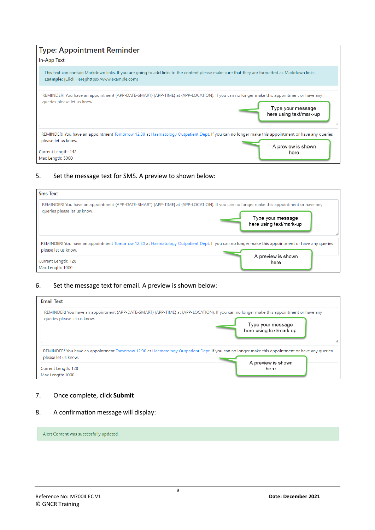| <b>Type: Appointment Reminder</b>                                                                                                                                                                       |                                              |
|---------------------------------------------------------------------------------------------------------------------------------------------------------------------------------------------------------|----------------------------------------------|
| In-App Text                                                                                                                                                                                             |                                              |
| This text can contain Markdown links. If you are going to add links to the content please make sure that they are formatted as Markdown links.<br><b>Example:</b> [Click Here](https://www.example.com) |                                              |
| REMINDER! You have an appointment {APP-DATE-SMART} {APP-TIME} at {APP-LOCATION}. If you can no longer make this appointment or have any<br>queries please let us know.                                  | Type your message<br>here using text/mark-up |
| REMINDER! You have an appointment Tomorrow 12:30 at Haematology Outpatient Dept. If you can no longer make this appointment or have any queries<br>please let us know.                                  |                                              |
| Current Length: 142<br>Max Length: 5000                                                                                                                                                                 | A preview is shown<br>here                   |

### 5. Set the message text for SMS. A preview to shown below:

| <b>Sms Text</b>                                                                                                                                                        |                         |
|------------------------------------------------------------------------------------------------------------------------------------------------------------------------|-------------------------|
| REMINDER! You have an appointment {APP-DATE-SMART} {APP-TIME} at {APP-LOCATION}. If you can no longer make this appointment or have any                                | Type your message       |
| queries please let us know.                                                                                                                                            | here using text/mark-up |
| REMINDER! You have an appointment Tomorrow 12:30 at Haematology Outpatient Dept. If you can no longer make this appointment or have any queries<br>please let us know. |                         |
| Current Length: 128                                                                                                                                                    | A preview is shown      |
| Max Length: 1000                                                                                                                                                       | here                    |

#### 6. Set the message text for email. A preview is shown below:

| <b>Email Text</b>                                                                                                                                                      |                         |
|------------------------------------------------------------------------------------------------------------------------------------------------------------------------|-------------------------|
| REMINDER! You have an appointment {APP-DATE-SMART} {APP-TIME} at {APP-LOCATION}. If you can no longer make this appointment or have any                                | Type your message       |
| queries please let us know.                                                                                                                                            | here using text/mark-up |
| REMINDER! You have an appointment Tomorrow 12:30 at Haematology Outpatient Dept. If you can no longer make this appointment or have any queries<br>please let us know. |                         |
| Current Length: 128                                                                                                                                                    | A preview is shown      |
| Max Length: 1000                                                                                                                                                       | here                    |

### 7. Once complete, click **Submit**

#### 8. A confirmation message will display:

Alert Content was successfully updated.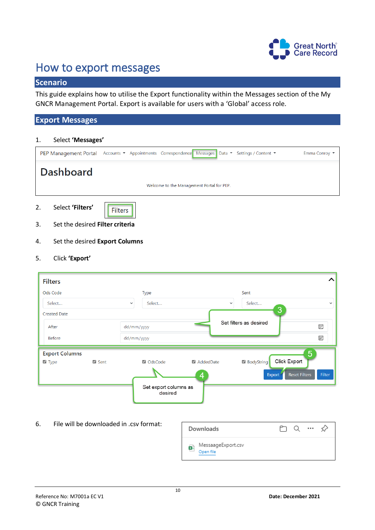

# <span id="page-9-0"></span>How to export messages

# **Scenario**

This guide explains how to utilise the Export functionality within the Messages section of the My GNCR Management Portal. Export is available for users with a 'Global' access role.

### **Export Messages**

#### 1. Select **'Messages'**

| PEP Management Portal Accounts ▼ Appointments Correspondence Messages Data ▼ Settings / Content ▼ |  |                                           | Emma Conroy ▼ |
|---------------------------------------------------------------------------------------------------|--|-------------------------------------------|---------------|
| <b>Dashboard</b>                                                                                  |  | Welcome to the Management Portal for PEP. |               |
|                                                                                                   |  |                                           |               |

2. Select **'Filters'**

|--|

- 3. Set the desired **Filter criteria**
- 4. Set the desired **Export Columns**
- 5. Click **'Export'**

| <b>Filters</b>        |      |              |                                  |              |                            | ㅅ                              |
|-----------------------|------|--------------|----------------------------------|--------------|----------------------------|--------------------------------|
| Ods Code              |      |              | Type                             |              | Sent                       |                                |
| Select                |      | $\checkmark$ | Select                           | $\checkmark$ | Select                     | $\checkmark$                   |
| <b>Created Date</b>   |      |              |                                  |              | 3                          |                                |
| After                 |      | dd/mm/yyyy   |                                  |              | Set filters as desired     | ⊞                              |
| <b>Before</b>         |      | dd/mm/yyyy   |                                  |              |                            | ⊞                              |
| <b>Export Columns</b> |      |              |                                  |              |                            | $5\overline{)}$                |
| $\blacksquare$ Type   | Sent |              | OdsCode                          | AddedDate    | Click Export<br>BodyString |                                |
|                       |      |              |                                  | 4            | <b>Export</b>              | <b>Reset Filters</b><br>Filter |
|                       |      |              | Set export columns as<br>desired |              |                            |                                |

6. File will be downloaded in .csv format:

| Downloads                            | $\cdots$ |
|--------------------------------------|----------|
| MessaageExport.csv<br>ቝ<br>Open file |          |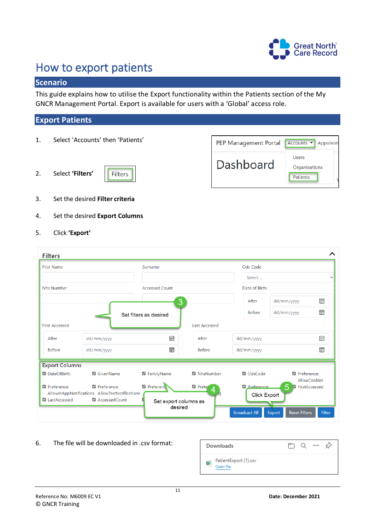

# <span id="page-10-0"></span>How to export patients

# **Scenario**

This guide explains how to utilise the Export functionality within the Patients section of the My GNCR Management Portal. Export is available for users with a 'Global' access role.

# **Export Patients**

- 1. Select 'Accounts' then 'Patients'
- 2. Select **'Filters'**





- 3. Set the desired **Filter criteria**
- 4. Set the desired **Export Columns**
- 5. Click **'Export'**

| <b>First Name</b>     |                                                               | Surname                          |                         | Ods Code                             |                                       |              |
|-----------------------|---------------------------------------------------------------|----------------------------------|-------------------------|--------------------------------------|---------------------------------------|--------------|
|                       |                                                               |                                  |                         | Select                               |                                       | $\checkmark$ |
| <b>Nhs Number</b>     |                                                               | <b>Accessed Count</b>            |                         | Date of Birth                        |                                       |              |
|                       |                                                               | 3                                |                         | After                                | dd/mm/yyyy                            | ⊞            |
|                       |                                                               | Set filters as desired           |                         | <b>Before</b>                        | dd/mm/yyyy                            | 同            |
| <b>First Accessed</b> |                                                               |                                  | <b>Last Accessed</b>    |                                      |                                       |              |
| After                 | dd/mm/yyyy                                                    | 同                                | After                   | dd/mm/yyyy                           |                                       | ⊞            |
| <b>Before</b>         | dd/mm/yyyy                                                    | 同                                | <b>Before</b>           | dd/mm/yyyy                           |                                       | 霝            |
| <b>Export Columns</b> |                                                               |                                  |                         |                                      |                                       |              |
| DateOfBirth           | GivenName                                                     | <b>Z</b> FamilyName              | MhsNumber               | <b>Z</b> OdsCode                     | <b>Z</b> Preference:                  | AllowCookies |
| Preference:           | Preference:<br>AllowInAppNotifications AllowTextNotifications | Preference                       | Prefe <sup>®</sup><br>4 | <b>Z</b> Preference:<br>Click Export | 5 Z FirstAccessed                     |              |
| V LastAccessed        | AccessedCount                                                 | Set export columns as<br>desired |                         | <b>Broadcast All</b>                 | <b>Reset Filters</b><br><b>Export</b> | Filter       |

6. The file will be downloaded in .csv format:

| Downloads                          | $\cdots$<br>少 |
|------------------------------------|---------------|
| PatientExport (1).csv<br>Open file |               |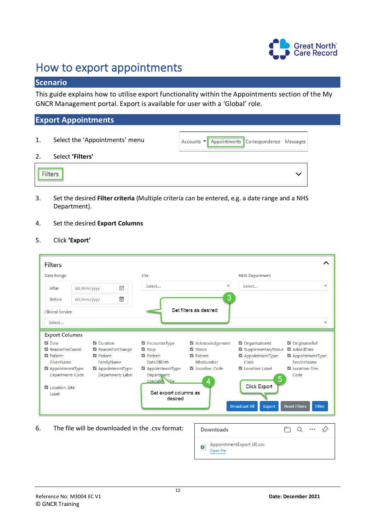

# <span id="page-11-0"></span>How to export appointments

# **Scenario**

This guide explains how to utilise export functionality within the Appointments section of the My GNCR Management portal. Export is available for user with a 'Global' role.

# **Export Appointments**

| 1.             | Select the 'Appointments' menu | Accounts ▼ Appointments Correspondence Messages |
|----------------|--------------------------------|-------------------------------------------------|
| 2.             | Select 'Filters'               |                                                 |
| <b>Filters</b> |                                |                                                 |

3. Set the desired **Filter criteria** (Multiple criteria can be entered, e.g. a date range and a NHS Department).

#### 4. Set the desired **Export Columns**

5. Click **'Export'**

| <b>Filters</b>                                                                                                                                                           |                                                                                                         |                                                                                                                                                                                           |                                                                                                   |                                                                                                                                                                          |                                                                                                                                     |  |  |
|--------------------------------------------------------------------------------------------------------------------------------------------------------------------------|---------------------------------------------------------------------------------------------------------|-------------------------------------------------------------------------------------------------------------------------------------------------------------------------------------------|---------------------------------------------------------------------------------------------------|--------------------------------------------------------------------------------------------------------------------------------------------------------------------------|-------------------------------------------------------------------------------------------------------------------------------------|--|--|
| Date Range                                                                                                                                                               |                                                                                                         | Site                                                                                                                                                                                      |                                                                                                   | <b>NHS Department</b>                                                                                                                                                    |                                                                                                                                     |  |  |
| After                                                                                                                                                                    | 同<br>dd/mm/yyyy                                                                                         | Select                                                                                                                                                                                    | $\checkmark$                                                                                      | Select                                                                                                                                                                   | $\checkmark$                                                                                                                        |  |  |
| <b>Before</b><br>dd/mm/yyyy                                                                                                                                              | 同                                                                                                       |                                                                                                                                                                                           | 3                                                                                                 |                                                                                                                                                                          |                                                                                                                                     |  |  |
| <b>Clinical Service</b><br>Select                                                                                                                                        | Set filters as desired<br>$\checkmark$                                                                  |                                                                                                                                                                                           |                                                                                                   |                                                                                                                                                                          |                                                                                                                                     |  |  |
| <b>Export Columns</b><br><b>Z</b> Date<br>ReasonForCancel<br><b>Z</b> Patient:<br>GivenName<br>AppointmentType:<br>Department: Code<br><b>Z</b> Location: Site:<br>Label | <b>Z</b> Duration<br>ReasonForChange<br>Patient:<br>FamilyName<br>AppointmentType:<br>Department: Label | $\blacksquare$ EncounterType<br>$\blacksquare$ Rsvp<br><b>Z</b> Patient:<br><b>DateOfBirth</b><br>AppointmentType:<br>Department:<br>Speciality sitle<br>Set export columns as<br>desired | Acknowledgement<br>$\blacksquare$ Status<br><b>Z</b> Patient:<br>NhsNumber<br>Location: Code<br>4 | OrganisationId<br>SupplementaryStatus<br>AppointmentType:<br>Code<br><b>Z</b> Location: Label<br>$\overline{5}$<br>Click Export<br><b>Broadcast All</b><br><b>Export</b> | OriginatorRef<br>AddedDate<br>AppointmentType:<br>ServiceName<br><b>Z</b> Location: Site:<br>Code<br><b>Reset Filters</b><br>Filter |  |  |

6. The file will be downloaded in the .csv format:

| Downloads                                   | $\cdots$<br>╯ |
|---------------------------------------------|---------------|
| AppointmentExport (4).csv<br>Ø<br>Open file |               |